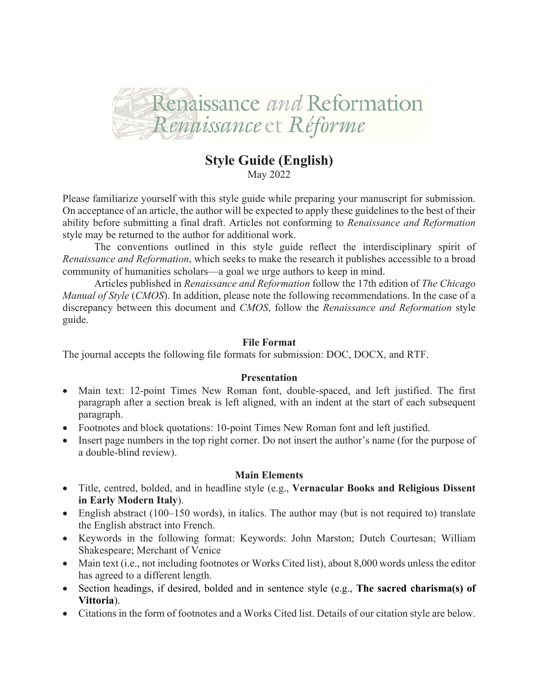

# **Style Guide (English)**

May 2022

Please familiarize yourself with this style guide while preparing your manuscript for submission. On acceptance of an article, the author will be expected to apply these guidelines to the best of their ability before submitting a final draft. Articles not conforming to *Renaissance and Reformation*  style may be returned to the author for additional work.

The conventions outlined in this style guide reflect the interdisciplinary spirit of *Renaissance and Reformation*, which seeks to make the research it publishes accessible to a broad community of humanities scholars—a goal we urge authors to keep in mind.

Articles published in *Renaissance and Reformation* follow the 17th edition of *The Chicago Manual of Style* (*CMOS*). In addition, please note the following recommendations. In the case of a discrepancy between this document and *CMOS*, follow the *Renaissance and Reformation* style guide.

## **File Format**

The journal accepts the following file formats for submission: DOC, DOCX, and RTF.

## **Presentation**

- Main text: 12-point Times New Roman font, double-spaced, and left justified. The first paragraph after a section break is left aligned, with an indent at the start of each subsequent paragraph.
- Footnotes and block quotations: 10-point Times New Roman font and left justified.
- Insert page numbers in the top right corner. Do not insert the author's name (for the purpose of a double-blind review).

## **Main Elements**

- Title, centred, bolded, and in headline style (e.g., **Vernacular Books and Religious Dissent in Early Modern Italy**).
- English abstract (100–150 words), in italics. The author may (but is not required to) translate the English abstract into French.
- Keywords in the following format: Keywords: John Marston; Dutch Courtesan; William Shakespeare; Merchant of Venice
- Main text (i.e., not including footnotes or Works Cited list), about 8,000 words unless the editor has agreed to a different length.
- Section headings, if desired, bolded and in sentence style (e.g., **The sacred charisma(s) of Vittoria**).
- Citations in the form of footnotes and a Works Cited list. Details of our citation style are below.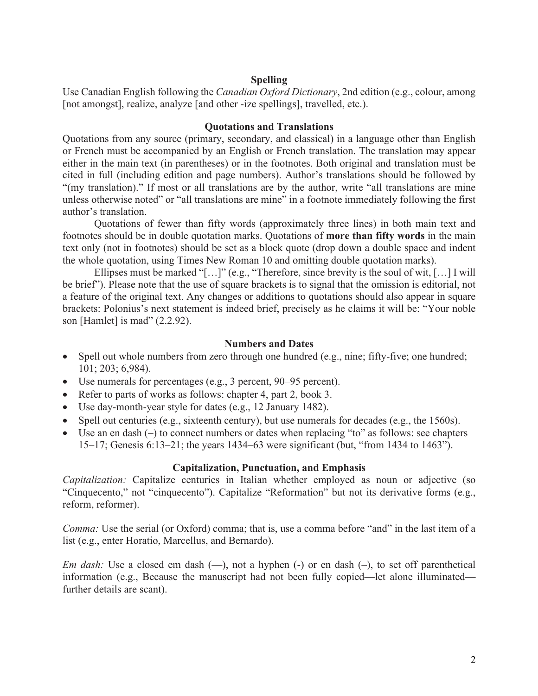#### **Spelling**

Use Canadian English following the *Canadian Oxford Dictionary*, 2nd edition (e.g., colour, among [not amongst], realize, analyze [and other -ize spellings], travelled, etc.).

#### **Quotations and Translations**

Quotations from any source (primary, secondary, and classical) in a language other than English or French must be accompanied by an English or French translation. The translation may appear either in the main text (in parentheses) or in the footnotes. Both original and translation must be cited in full (including edition and page numbers). Author's translations should be followed by "(my translation)." If most or all translations are by the author, write "all translations are mine unless otherwise noted" or "all translations are mine" in a footnote immediately following the first author's translation.

Quotations of fewer than fifty words (approximately three lines) in both main text and footnotes should be in double quotation marks. Quotations of **more than fifty words** in the main text only (not in footnotes) should be set as a block quote (drop down a double space and indent the whole quotation, using Times New Roman 10 and omitting double quotation marks).

Ellipses must be marked "[…]" (e.g., "Therefore, since brevity is the soul of wit, […] I will be brief"). Please note that the use of square brackets is to signal that the omission is editorial, not a feature of the original text. Any changes or additions to quotations should also appear in square brackets: Polonius's next statement is indeed brief, precisely as he claims it will be: "Your noble son [Hamlet] is mad" (2.2.92).

#### **Numbers and Dates**

- Spell out whole numbers from zero through one hundred (e.g., nine; fifty-five; one hundred; 101; 203; 6,984).
- Use numerals for percentages (e.g., 3 percent, 90–95 percent).
- Refer to parts of works as follows: chapter 4, part 2, book 3.
- Use day-month-year style for dates (e.g., 12 January 1482).
- Spell out centuries (e.g., sixteenth century), but use numerals for decades (e.g., the 1560s).
- Use an en dash (–) to connect numbers or dates when replacing "to" as follows: see chapters 15–17; Genesis 6:13–21; the years 1434–63 were significant (but, "from 1434 to 1463").

#### **Capitalization, Punctuation, and Emphasis**

*Capitalization:* Capitalize centuries in Italian whether employed as noun or adjective (so "Cinquecento," not "cinquecento"). Capitalize "Reformation" but not its derivative forms (e.g., reform, reformer).

*Comma:* Use the serial (or Oxford) comma; that is, use a comma before "and" in the last item of a list (e.g., enter Horatio, Marcellus, and Bernardo).

*Em dash:* Use a closed em dash (-), not a hyphen (-) or en dash (-), to set off parenthetical information (e.g., Because the manuscript had not been fully copied—let alone illuminated further details are scant).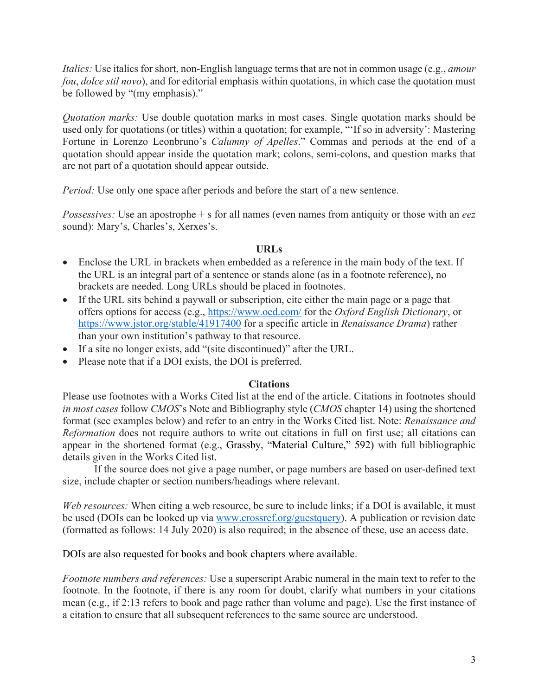*Italics:* Use italics for short, non-English language terms that are not in common usage (e.g., *amour fou*, *dolce stil novo*), and for editorial emphasis within quotations, in which case the quotation must be followed by "(my emphasis)."

*Quotation marks:* Use double quotation marks in most cases. Single quotation marks should be used only for quotations (or titles) within a quotation; for example, "'If so in adversity': Mastering Fortune in Lorenzo Leonbruno's *Calumny of Apelles*." Commas and periods at the end of a quotation should appear inside the quotation mark; colons, semi-colons, and question marks that are not part of a quotation should appear outside.

*Period:* Use only one space after periods and before the start of a new sentence.

*Possessives:* Use an apostrophe + s for all names (even names from antiquity or those with an *eez*  sound): Mary's, Charles's, Xerxes's.

# **URLs**

- Enclose the URL in brackets when embedded as a reference in the main body of the text. If the URL is an integral part of a sentence or stands alone (as in a footnote reference), no brackets are needed. Long URLs should be placed in footnotes.
- If the URL sits behind a paywall or subscription, cite either the main page or a page that offers options for access (e.g., https://www.oed.com/ for the *Oxford English Dictionary*, or https://www.jstor.org/stable/41917400 for a specific article in *Renaissance Drama*) rather than your own institution's pathway to that resource.
- If a site no longer exists, add "(site discontinued)" after the URL.
- Please note that if a DOI exists, the DOI is preferred.

## **Citations**

Please use footnotes with a Works Cited list at the end of the article. Citations in footnotes should *in most cases* follow *CMOS*'s Note and Bibliography style (*CMOS* chapter 14) using the shortened format (see examples below) and refer to an entry in the Works Cited list. Note: *Renaissance and Reformation* does not require authors to write out citations in full on first use; all citations can appear in the shortened format (e.g., Grassby, "Material Culture," 592) with full bibliographic details given in the Works Cited list.

If the source does not give a page number, or page numbers are based on user-defined text size, include chapter or section numbers/headings where relevant.

*Web resources:* When citing a web resource, be sure to include links; if a DOI is available, it must be used (DOIs can be looked up via www.crossref.org/guestquery). A publication or revision date (formatted as follows: 14 July 2020) is also required; in the absence of these, use an access date.

DOIs are also requested for books and book chapters where available.

*Footnote numbers and references:* Use a superscript Arabic numeral in the main text to refer to the footnote. In the footnote, if there is any room for doubt, clarify what numbers in your citations mean (e.g., if 2:13 refers to book and page rather than volume and page). Use the first instance of a citation to ensure that all subsequent references to the same source are understood.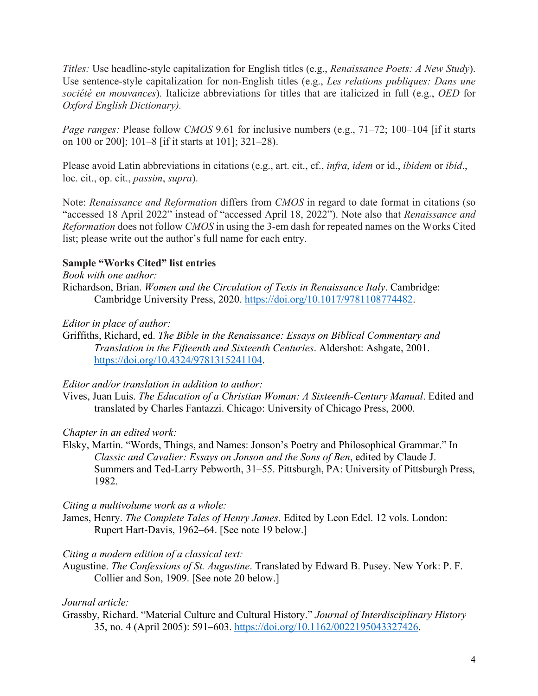*Titles:* Use headline-style capitalization for English titles (e.g., *Renaissance Poets: A New Study*). Use sentence-style capitalization for non-English titles (e.g., *Les relations publiques: Dans une société en mouvances*)*.* Italicize abbreviations for titles that are italicized in full (e.g., *OED* for *Oxford English Dictionary).* 

*Page ranges:* Please follow *CMOS* 9.61 for inclusive numbers (e.g., 71–72; 100–104 [if it starts on 100 or 200]; 101–8 [if it starts at 101]; 321–28).

Please avoid Latin abbreviations in citations (e.g., art. cit., cf., *infra*, *idem* or id., *ibidem* or *ibid*., loc. cit., op. cit., *passim*, *supra*).

Note: *Renaissance and Reformation* differs from *CMOS* in regard to date format in citations (so "accessed 18 April 2022" instead of "accessed April 18, 2022"). Note also that *Renaissance and Reformation* does not follow *CMOS* in using the 3-em dash for repeated names on the Works Cited list; please write out the author's full name for each entry.

# **Sample "Works Cited" list entries**

*Book with one author:*

Richardson, Brian. *Women and the Circulation of Texts in Renaissance Italy*. Cambridge: Cambridge University Press, 2020. https://doi.org/10.1017/9781108774482.

# *Editor in place of author:*

Griffiths, Richard, ed. *The Bible in the Renaissance: Essays on Biblical Commentary and Translation in the Fifteenth and Sixteenth Centuries*. Aldershot: Ashgate, 2001. https://doi.org/10.4324/9781315241104.

## *Editor and/or translation in addition to author:*

Vives, Juan Luis. *The Education of a Christian Woman: A Sixteenth-Century Manual*. Edited and translated by Charles Fantazzi. Chicago: University of Chicago Press, 2000.

# *Chapter in an edited work:*

Elsky, Martin. "Words, Things, and Names: Jonson's Poetry and Philosophical Grammar." In *Classic and Cavalier: Essays on Jonson and the Sons of Ben*, edited by Claude J. Summers and Ted-Larry Pebworth, 31–55. Pittsburgh, PA: University of Pittsburgh Press, 1982.

# *Citing a multivolume work as a whole:*

James, Henry. *The Complete Tales of Henry James*. Edited by Leon Edel. 12 vols. London: Rupert Hart-Davis, 1962–64. [See note 19 below.]

## *Citing a modern edition of a classical text:*

Augustine. *The Confessions of St. Augustine*. Translated by Edward B. Pusey. New York: P. F. Collier and Son, 1909. [See note 20 below.]

# *Journal article:*

Grassby, Richard. "Material Culture and Cultural History." *Journal of Interdisciplinary History* 35, no. 4 (April 2005): 591–603. https://doi.org/10.1162/0022195043327426.